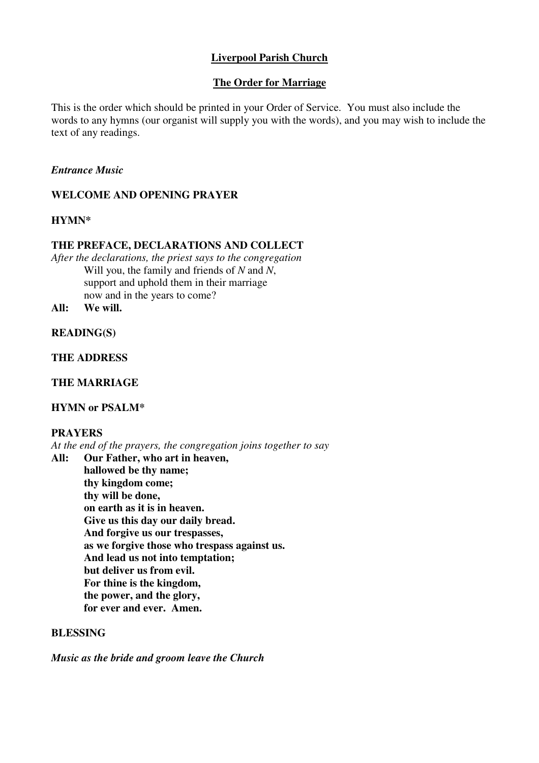# **Liverpool Parish Church**

## **The Order for Marriage**

This is the order which should be printed in your Order of Service. You must also include the words to any hymns (our organist will supply you with the words), and you may wish to include the text of any readings.

### *Entrance Music*

## **WELCOME AND OPENING PRAYER**

#### **HYMN\***

#### **THE PREFACE, DECLARATIONS AND COLLECT**

*After the declarations, the priest says to the congregation* Will you, the family and friends of *N* and *N*, support and uphold them in their marriage now and in the years to come?

**All: We will.** 

#### **READING(S)**

**THE ADDRESS** 

## **THE MARRIAGE**

### **HYMN or PSALM\***

### **PRAYERS**

*At the end of the prayers, the congregation joins together to say*

**All: Our Father, who art in heaven, hallowed be thy name; thy kingdom come; thy will be done, on earth as it is in heaven. Give us this day our daily bread. And forgive us our trespasses, as we forgive those who trespass against us. And lead us not into temptation; but deliver us from evil. For thine is the kingdom, the power, and the glory, for ever and ever. Amen.** 

#### **BLESSING**

*Music as the bride and groom leave the Church*